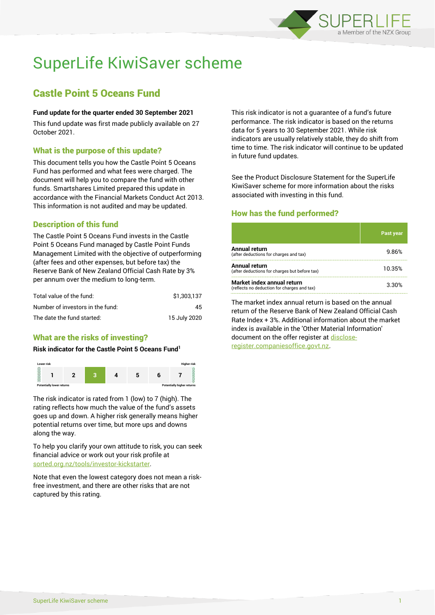

# SuperLife KiwiSaver scheme

# Castle Point 5 Oceans Fund

## **Fund update for the quarter ended 30 September 2021**

This fund update was first made publicly available on 27 October 2021.

# What is the purpose of this update?

This document tells you how the Castle Point 5 Oceans Fund has performed and what fees were charged. The document will help you to compare the fund with other funds. Smartshares Limited prepared this update in accordance with the Financial Markets Conduct Act 2013. This information is not audited and may be updated.

# Description of this fund

The Castle Point 5 Oceans Fund invests in the Castle Point 5 Oceans Fund managed by Castle Point Funds Management Limited with the objective of outperforming (after fees and other expenses, but before tax) the Reserve Bank of New Zealand Official Cash Rate by 3% per annum over the medium to long-term.

| Total value of the fund:         | \$1.303.137  |
|----------------------------------|--------------|
| Number of investors in the fund: | 45           |
| The date the fund started:       | 15 July 2020 |

# What are the risks of investing?

#### **Risk indicator for the Castle Point 5 Oceans Fund<sup>1</sup>**



The risk indicator is rated from 1 (low) to 7 (high). The rating reflects how much the value of the fund's assets goes up and down. A higher risk generally means higher potential returns over time, but more ups and downs along the way.

To help you clarify your own attitude to risk, you can seek financial advice or work out your risk profile at [sorted.org.nz/tools/investor-kickstarter.](http://www.sorted.org.nz/tools/investor-kickstarter)

Note that even the lowest category does not mean a riskfree investment, and there are other risks that are not captured by this rating.

This risk indicator is not a guarantee of a fund's future performance. The risk indicator is based on the returns data for 5 years to 30 September 2021. While risk indicators are usually relatively stable, they do shift from time to time. The risk indicator will continue to be updated in future fund updates.

See the Product Disclosure Statement for the SuperLife KiwiSaver scheme for more information about the risks associated with investing in this fund.

# How has the fund performed?

|                                                                           | Past year |
|---------------------------------------------------------------------------|-----------|
| Annual return<br>(after deductions for charges and tax)                   | 9.86%     |
| Annual return<br>(after deductions for charges but before tax)            | 10.35%    |
| Market index annual return<br>(reflects no deduction for charges and tax) | 3.30%     |

The market index annual return is based on the annual return of the Reserve Bank of New Zealand Official Cash Rate Index + 3%. Additional information about the market index is available in the 'Other Material Information' document on the offer register a[t disclose](http://www.disclose-register.companiesoffice.govt.nz/)[register.companiesoffice.govt.nz.](http://www.disclose-register.companiesoffice.govt.nz/)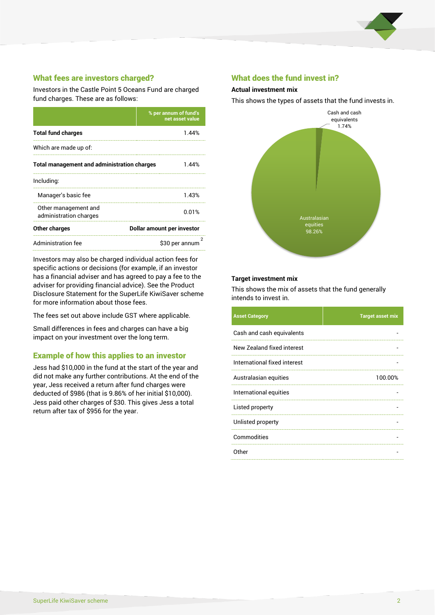

# What fees are investors charged?

Investors in the Castle Point 5 Oceans Fund are charged fund charges. These are as follows:

|                                                    | % per annum of fund's<br>net asset value |  |
|----------------------------------------------------|------------------------------------------|--|
| <b>Total fund charges</b>                          | 1.44%                                    |  |
| Which are made up of:                              |                                          |  |
| <b>Total management and administration charges</b> | 1.44%                                    |  |
| Including:                                         |                                          |  |
| Manager's basic fee                                | 1.43%                                    |  |
| Other management and<br>administration charges     | 0.01%                                    |  |
| Other charges                                      | Dollar amount per investor               |  |
| Administration fee                                 | \$30 per annum                           |  |

Investors may also be charged individual action fees for specific actions or decisions (for example, if an investor has a financial adviser and has agreed to pay a fee to the adviser for providing financial advice). See the Product Disclosure Statement for the SuperLife KiwiSaver scheme for more information about those fees.

The fees set out above include GST where applicable.

Small differences in fees and charges can have a big impact on your investment over the long term.

# Example of how this applies to an investor

Jess had \$10,000 in the fund at the start of the year and did not make any further contributions. At the end of the year, Jess received a return after fund charges were deducted of \$986 (that is 9.86% of her initial \$10,000). Jess paid other charges of \$30. This gives Jess a total return after tax of \$956 for the year.

## What does the fund invest in?

#### **Actual investment mix**

This shows the types of assets that the fund invests in.



#### **Target investment mix**

This shows the mix of assets that the fund generally intends to invest in.

| <b>Asset Category</b>        | <b>Target asset mix</b> |
|------------------------------|-------------------------|
| Cash and cash equivalents    |                         |
| New Zealand fixed interest   |                         |
| International fixed interest |                         |
| Australasian equities        | 100.00%                 |
| International equities       |                         |
| Listed property              |                         |
| Unlisted property            |                         |
| Commodities                  |                         |
| Other                        |                         |